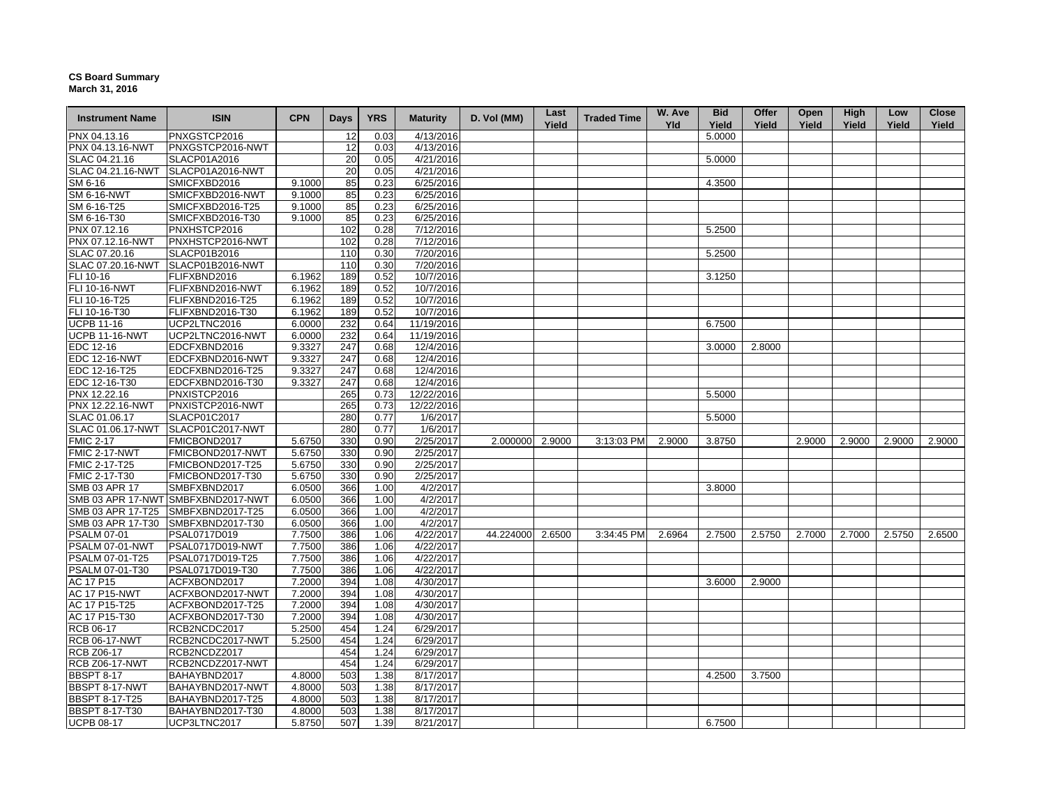## **CS Board Summary March 31, 2016**

| <b>Instrument Name</b>             | <b>ISIN</b>                          | <b>CPN</b>       | <b>Days</b> | <b>YRS</b>   | <b>Maturity</b>        | D. Vol (MM) | Last<br>Yield | <b>Traded Time</b> | W. Ave<br><b>Yld</b> | <b>Bid</b><br>Yield | Offer<br>Yield | Open<br>Yield | High<br>Yield | Low<br>Yield | <b>Close</b><br>Yield |
|------------------------------------|--------------------------------------|------------------|-------------|--------------|------------------------|-------------|---------------|--------------------|----------------------|---------------------|----------------|---------------|---------------|--------------|-----------------------|
| PNX 04.13.16                       | PNXGSTCP2016                         |                  | 12          | 0.03         | 4/13/2016              |             |               |                    |                      | 5.0000              |                |               |               |              |                       |
| PNX 04.13.16-NWT                   | PNXGSTCP2016-NWT                     |                  | 12          | 0.03         | 4/13/2016              |             |               |                    |                      |                     |                |               |               |              |                       |
| SLAC 04.21.16                      | SLACP01A2016                         |                  | 20          | 0.05         | 4/21/2016              |             |               |                    |                      | 5.0000              |                |               |               |              |                       |
| SLAC 04.21.16-NWT                  | SLACP01A2016-NWT                     |                  | 20          | 0.05         | 4/21/2016              |             |               |                    |                      |                     |                |               |               |              |                       |
| SM 6-16                            | SMICFXBD2016                         | 9.1000           | 85          | 0.23         | 6/25/2016              |             |               |                    |                      | 4.3500              |                |               |               |              |                       |
| <b>SM 6-16-NWT</b>                 | SMICFXBD2016-NWT                     | 9.1000           | 85          | 0.23         | 6/25/2016              |             |               |                    |                      |                     |                |               |               |              |                       |
| SM 6-16-T25                        | SMICFXBD2016-T25                     | 9.1000           | 85          | 0.23         | 6/25/2016              |             |               |                    |                      |                     |                |               |               |              |                       |
| SM 6-16-T30                        | SMICFXBD2016-T30                     | 9.1000           | 85          | 0.23         | 6/25/2016              |             |               |                    |                      |                     |                |               |               |              |                       |
| PNX 07.12.16                       | PNXHSTCP2016                         |                  | 102         | 0.28         | 7/12/2016              |             |               |                    |                      | 5.2500              |                |               |               |              |                       |
| PNX 07.12.16-NWT                   | PNXHSTCP2016-NWT                     |                  | 102         | 0.28         | 7/12/2016              |             |               |                    |                      |                     |                |               |               |              |                       |
| SLAC 07.20.16                      | SLACP01B2016                         |                  | 110         | 0.30         | 7/20/2016              |             |               |                    |                      | 5.2500              |                |               |               |              |                       |
| SLAC 07.20.16-NWT                  | SLACP01B2016-NWT                     |                  | 110         | 0.30         | 7/20/2016              |             |               |                    |                      |                     |                |               |               |              |                       |
| FLI 10-16                          | FLIFXBND2016                         | 6.1962           | 189         | 0.52         | 10/7/2016              |             |               |                    |                      | 3.1250              |                |               |               |              |                       |
| <b>FLI 10-16-NWT</b>               | FLIFXBND2016-NWT                     | 6.1962           | 189         | 0.52         | 10/7/2016              |             |               |                    |                      |                     |                |               |               |              |                       |
| FLI 10-16-T25                      | FLIFXBND2016-T25                     | 6.1962           | 189         | 0.52         | 10/7/2016              |             |               |                    |                      |                     |                |               |               |              |                       |
| FLI 10-16-T30                      | FLIFXBND2016-T30                     | 6.1962           | 189         | 0.52         | 10/7/2016              |             |               |                    |                      |                     |                |               |               |              |                       |
| <b>UCPB 11-16</b>                  | UCP2LTNC2016                         | 6.0000           | 232         | 0.64         | 11/19/2016             |             |               |                    |                      | 6.7500              |                |               |               |              |                       |
| <b>UCPB 11-16-NWT</b>              | UCP2LTNC2016-NWT                     | 6.0000           | 232         | 0.64         | 11/19/2016             |             |               |                    |                      |                     |                |               |               |              |                       |
| EDC 12-16                          | EDCFXBND2016                         | 9.3327           | 247         | 0.68         | 12/4/2016              |             |               |                    |                      | 3.0000              | 2.8000         |               |               |              |                       |
| <b>EDC 12-16-NWT</b>               | EDCFXBND2016-NWT                     | 9.3327           | 247         | 0.68         | 12/4/2016              |             |               |                    |                      |                     |                |               |               |              |                       |
| EDC 12-16-T25                      | EDCFXBND2016-T25                     | 9.3327           | 247         | 0.68         | 12/4/2016              |             |               |                    |                      |                     |                |               |               |              |                       |
| EDC 12-16-T30                      | EDCFXBND2016-T30                     | 9.3327           | 247         | 0.68         | 12/4/2016              |             |               |                    |                      |                     |                |               |               |              |                       |
| PNX 12.22.16                       | PNXISTCP2016                         |                  | 265         | 0.73         | 12/22/2016             |             |               |                    |                      | 5.5000              |                |               |               |              |                       |
| PNX 12.22.16-NWT                   | PNXISTCP2016-NWT                     |                  | 265         | 0.73         | 12/22/2016             |             |               |                    |                      |                     |                |               |               |              |                       |
| SLAC 01.06.17                      | SLACP01C2017                         |                  | 280         | 0.77         | 1/6/2017               |             |               |                    |                      | 5.5000              |                |               |               |              |                       |
| SLAC 01.06.17-NWT                  |                                      |                  | 280         | 0.77         | 1/6/2017               |             |               |                    |                      |                     |                |               |               |              |                       |
| <b>FMIC 2-17</b>                   | SLACP01C2017-NWT<br>FMICBOND2017     | 5.6750           | 330         | 0.90         | 2/25/2017              | 2.000000    | 2.9000        | 3:13:03 PM         | 2.9000               | 3.8750              |                | 2.9000        | 2.9000        | 2.9000       | 2.9000                |
| <b>FMIC 2-17-NWT</b>               | FMICBOND2017-NWT                     | 5.6750           | 330         | 0.90         | 2/25/2017              |             |               |                    |                      |                     |                |               |               |              |                       |
| FMIC 2-17-T25                      | FMICBOND2017-T25                     |                  | 330         | 0.90         | 2/25/2017              |             |               |                    |                      |                     |                |               |               |              |                       |
| FMIC 2-17-T30                      |                                      | 5.6750<br>5.6750 | 330         | 0.90         | 2/25/2017              |             |               |                    |                      |                     |                |               |               |              |                       |
|                                    | FMICBOND2017-T30                     |                  |             |              |                        |             |               |                    |                      |                     |                |               |               |              |                       |
| SMB 03 APR 17                      | SMBFXBND2017                         | 6.0500           | 366         | 1.00         | 4/2/2017               |             |               |                    |                      | 3.8000              |                |               |               |              |                       |
|                                    | SMB 03 APR 17-NWT SMBFXBND2017-NWT   | 6.0500           | 366         | 1.00         | 4/2/2017               |             |               |                    |                      |                     |                |               |               |              |                       |
| SMB 03 APR 17-T25                  | SMBFXBND2017-T25                     | 6.0500           | 366         | 1.00         | 4/2/2017               |             |               |                    |                      |                     |                |               |               |              |                       |
| SMB 03 APR 17-T30                  | SMBFXBND2017-T30                     | 6.0500           | 366         | 1.00         | 4/2/2017               |             |               |                    |                      |                     |                |               |               |              |                       |
| <b>PSALM 07-01</b>                 | PSAL0717D019                         | 7.7500           | 386         | 1.06         | 4/22/2017              | 44.224000   | 2.6500        | 3:34:45 PM         | 2.6964               | 2.7500              | 2.5750         | 2.7000        | 2.7000        | 2.5750       | 2.6500                |
| PSALM 07-01-NWT                    | PSAL0717D019-NWT<br>PSAL0717D019-T25 | 7.7500<br>7.7500 | 386<br>386  | 1.06<br>1.06 | 4/22/2017<br>4/22/2017 |             |               |                    |                      |                     |                |               |               |              |                       |
| PSALM 07-01-T25<br>PSALM 07-01-T30 | PSAL0717D019-T30                     | 7.7500           | 386         | 1.06         | 4/22/2017              |             |               |                    |                      |                     |                |               |               |              |                       |
| AC 17 P15                          | ACFXBOND2017                         | 7.2000           | 394         | 1.08         | 4/30/2017              |             |               |                    |                      | 3.6000              | 2.9000         |               |               |              |                       |
| <b>AC 17 P15-NWT</b>               | ACFXBOND2017-NWT                     | 7.2000           | 394         | 1.08         | 4/30/2017              |             |               |                    |                      |                     |                |               |               |              |                       |
| AC 17 P15-T25                      |                                      |                  |             |              |                        |             |               |                    |                      |                     |                |               |               |              |                       |
|                                    | ACFXBOND2017-T25                     | 7.2000           | 394         | 1.08         | 4/30/2017              |             |               |                    |                      |                     |                |               |               |              |                       |
| AC 17 P15-T30<br><b>RCB 06-17</b>  | ACFXBOND2017-T30                     | 7.2000           | 394         | 1.08         | 4/30/2017              |             |               |                    |                      |                     |                |               |               |              |                       |
|                                    | RCB2NCDC2017                         | 5.2500           | 454         | 1.24         | 6/29/2017              |             |               |                    |                      |                     |                |               |               |              |                       |
| <b>RCB 06-17-NWT</b>               | RCB2NCDC2017-NWT                     | 5.2500           | 454<br>454  | 1.24         | 6/29/2017              |             |               |                    |                      |                     |                |               |               |              |                       |
| <b>RCB Z06-17</b>                  | RCB2NCDZ2017                         |                  | 454         | 1.24         | 6/29/2017              |             |               |                    |                      |                     |                |               |               |              |                       |
| <b>RCB Z06-17-NWT</b>              | RCB2NCDZ2017-NWT                     |                  |             | 1.24         | 6/29/2017              |             |               |                    |                      |                     |                |               |               |              |                       |
| <b>BBSPT 8-17</b>                  | BAHAYBND2017                         | 4.8000           | 503         | 1.38         | 8/17/2017              |             |               |                    |                      | 4.2500              | 3.7500         |               |               |              |                       |
| BBSPT 8-17-NWT                     | BAHAYBND2017-NWT                     | 4.8000           | 503         | 1.38         | 8/17/2017              |             |               |                    |                      |                     |                |               |               |              |                       |
| <b>BBSPT 8-17-T25</b>              | BAHAYBND2017-T25                     | 4.8000           | 503         | 1.38         | 8/17/2017              |             |               |                    |                      |                     |                |               |               |              |                       |
| <b>BBSPT 8-17-T30</b>              | BAHAYBND2017-T30                     | 4.8000           | 503         | 1.38         | 8/17/2017              |             |               |                    |                      |                     |                |               |               |              |                       |
| <b>UCPB 08-17</b>                  | UCP3LTNC2017                         | 5.8750           | 507         | 1.39         | 8/21/2017              |             |               |                    |                      | 6.7500              |                |               |               |              |                       |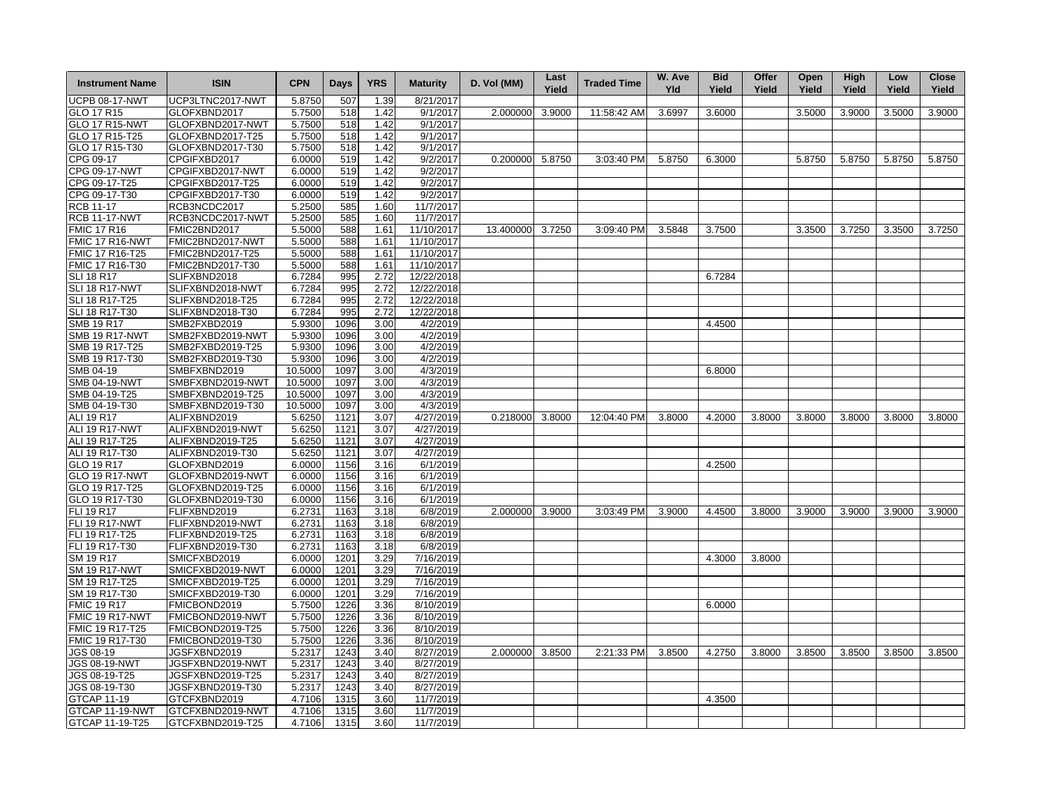| <b>Instrument Name</b>                     | <b>ISIN</b>                      | <b>CPN</b>       | <b>Days</b>  | <b>YRS</b>   | <b>Maturity</b>       | D. Vol (MM)     | Last<br>Yield | <b>Traded Time</b> | W. Ave<br><b>Yld</b> | <b>Bid</b><br>Yield | Offer<br>Yield | Open<br>Yield | High<br>Yield | Low<br>Yield | <b>Close</b><br>Yield |
|--------------------------------------------|----------------------------------|------------------|--------------|--------------|-----------------------|-----------------|---------------|--------------------|----------------------|---------------------|----------------|---------------|---------------|--------------|-----------------------|
| <b>UCPB 08-17-NWT</b>                      | UCP3LTNC2017-NWT                 | 5.8750           | 507          | 1.39         | 8/21/2017             |                 |               |                    |                      |                     |                |               |               |              |                       |
| GLO 17 R15                                 | GLOFXBND2017                     | 5.7500           | 518          | 1.42         | 9/1/2017              | 2.000000        | 3.9000        | 11:58:42 AM        | 3.6997               | 3.6000              |                | 3.5000        | 3.9000        | 3.5000       | 3.9000                |
| GLO 17 R15-NWT                             | GLOFXBND2017-NWT                 | 5.7500           | 518          | 1.42         | 9/1/2017              |                 |               |                    |                      |                     |                |               |               |              |                       |
| GLO 17 R15-T25                             | GLOFXBND2017-T25                 | 5.7500           | 518          | 1.42         | 9/1/2017              |                 |               |                    |                      |                     |                |               |               |              |                       |
| GLO 17 R15-T30                             | GLOFXBND2017-T30                 | 5.7500           | 518          | 1.42         | 9/1/2017              |                 |               |                    |                      |                     |                |               |               |              |                       |
| CPG 09-17                                  | CPGIFXBD2017                     | 6.0000           | 519          | 1.42         | 9/2/2017              | 0.200000 5.8750 |               | 3:03:40 PM         | 5.8750               | 6.3000              |                | 5.8750        | 5.8750        | 5.8750       | 5.8750                |
| CPG 09-17-NWT                              | CPGIFXBD2017-NWT                 | 6.0000           | 519          | 1.42         | 9/2/2017              |                 |               |                    |                      |                     |                |               |               |              |                       |
| CPG 09-17-T25                              | CPGIFXBD2017-T25                 | 6.0000           | 519          | 1.42         | 9/2/2017              |                 |               |                    |                      |                     |                |               |               |              |                       |
| CPG 09-17-T30                              | CPGIFXBD2017-T30                 | 6.0000           | 519          | 1.42         | 9/2/2017              |                 |               |                    |                      |                     |                |               |               |              |                       |
| <b>RCB 11-17</b>                           | RCB3NCDC2017                     | 5.2500           | 585          | 1.60         | 11/7/2017             |                 |               |                    |                      |                     |                |               |               |              |                       |
| <b>RCB 11-17-NWT</b>                       | RCB3NCDC2017-NWT                 | 5.2500           | 585          | 1.60         | 11/7/2017             |                 |               |                    |                      |                     |                |               |               |              |                       |
| <b>FMIC 17 R16</b>                         | FMIC2BND2017                     | 5.5000           | 588          | 1.61         | 11/10/2017            | 13.400000       | 3.7250        | 3:09:40 PM         | 3.5848               | 3.7500              |                | 3.3500        | 3.7250        | 3.3500       | 3.7250                |
| FMIC 17 R16-NWT                            | FMIC2BND2017-NWT                 | 5.5000           | 588          | 1.61         | 11/10/2017            |                 |               |                    |                      |                     |                |               |               |              |                       |
| FMIC 17 R16-T25                            | FMIC2BND2017-T25                 | 5.5000           | 588          | 1.61         | 11/10/2017            |                 |               |                    |                      |                     |                |               |               |              |                       |
| FMIC 17 R16-T30                            | FMIC2BND2017-T30                 | 5.5000           | 588          | 1.61         | 11/10/2017            |                 |               |                    |                      |                     |                |               |               |              |                       |
| <b>SLI 18 R17</b>                          | SLIFXBND2018                     | 6.7284           | 995          | 2.72         | 12/22/2018            |                 |               |                    |                      | 6.7284              |                |               |               |              |                       |
| <b>SLI 18 R17-NWT</b>                      | SLIFXBND2018-NWT                 | 6.7284           | 995          | 2.72         | 12/22/2018            |                 |               |                    |                      |                     |                |               |               |              |                       |
| SLI 18 R17-T25                             | SLIFXBND2018-T25                 | 6.7284           | 995          | 2.72         | 12/22/2018            |                 |               |                    |                      |                     |                |               |               |              |                       |
| SLI 18 R17-T30                             | SLIFXBND2018-T30                 | 6.7284           | 995          | 2.72         | 12/22/2018            |                 |               |                    |                      |                     |                |               |               |              |                       |
| <b>SMB 19 R17</b>                          | SMB2FXBD2019                     | 5.9300           | 1096         | 3.00         | 4/2/2019              |                 |               |                    |                      | 4.4500              |                |               |               |              |                       |
| <b>SMB 19 R17-NWT</b>                      | SMB2FXBD2019-NWT                 | 5.9300           | 1096         | 3.00         | 4/2/2019              |                 |               |                    |                      |                     |                |               |               |              |                       |
| SMB 19 R17-T25                             | SMB2FXBD2019-T25                 | 5.9300           | 1096         | 3.00         | 4/2/2019              |                 |               |                    |                      |                     |                |               |               |              |                       |
| SMB 19 R17-T30                             | SMB2FXBD2019-T30                 | 5.9300           | 1096         | 3.00         | 4/2/2019              |                 |               |                    |                      |                     |                |               |               |              |                       |
| SMB 04-19                                  | SMBFXBND2019                     | 10.5000          | 1097         | 3.00         | 4/3/2019              |                 |               |                    |                      | 6.8000              |                |               |               |              |                       |
| <b>SMB 04-19-NWT</b>                       | SMBFXBND2019-NWT                 | 10.5000          | 1097         | 3.00         | 4/3/2019              |                 |               |                    |                      |                     |                |               |               |              |                       |
| SMB 04-19-T25                              | SMBFXBND2019-T25                 | 10.5000          | 1097         | 3.00         | 4/3/2019              |                 |               |                    |                      |                     |                |               |               |              |                       |
| SMB 04-19-T30                              | SMBFXBND2019-T30                 | 10.5000          | 1097         | 3.00         | 4/3/2019              |                 |               |                    |                      |                     |                |               |               |              |                       |
| <b>ALI 19 R17</b>                          | ALIFXBND2019                     | 5.6250           | 1121         | 3.07         | 4/27/2019             | 0.218000        | 3.8000        | 12:04:40 PM        | 3.8000               | 4.2000              | 3.8000         | 3.8000        | 3.8000        | 3.8000       | 3.8000                |
| ALI 19 R17-NWT                             | ALIFXBND2019-NWT                 | 5.6250           | 1121         | 3.07         | 4/27/2019             |                 |               |                    |                      |                     |                |               |               |              |                       |
| ALI 19 R17-T25                             | ALIFXBND2019-T25                 | 5.6250           | 1121         | 3.07         | 4/27/2019             |                 |               |                    |                      |                     |                |               |               |              |                       |
| ALI 19 R17-T30                             | ALIFXBND2019-T30                 | 5.6250           | 1121         | 3.07         | 4/27/2019             |                 |               |                    |                      |                     |                |               |               |              |                       |
| GLO 19 R17                                 | GLOFXBND2019                     | 6.0000           | 1156         | 3.16         | 6/1/2019              |                 |               |                    |                      | 4.2500              |                |               |               |              |                       |
| <b>GLO 19 R17-NWT</b>                      | GLOFXBND2019-NWT                 | 6.0000           | 1156         | 3.16         | 6/1/2019              |                 |               |                    |                      |                     |                |               |               |              |                       |
| GLO 19 R17-T25                             | GLOFXBND2019-T25                 | 6.0000           | 1156         | 3.16         | 6/1/2019              |                 |               |                    |                      |                     |                |               |               |              |                       |
| GLO 19 R17-T30                             | GLOFXBND2019-T30                 | 6.0000           | 1156         | 3.16         | 6/1/2019              |                 |               |                    |                      |                     |                |               |               |              |                       |
|                                            |                                  |                  |              | 3.18         | 6/8/2019              | 2.000000        | 3.9000        | 3:03:49 PM         |                      |                     | 3.8000         | 3.9000        | 3.9000        |              |                       |
| <b>FLI 19 R17</b><br><b>FLI 19 R17-NWT</b> | FLIFXBND2019<br>FLIFXBND2019-NWT | 6.2731           | 1163         | 3.18         | 6/8/2019              |                 |               |                    | 3.9000               | 4.4500              |                |               |               | 3.9000       | 3.9000                |
|                                            |                                  | 6.2731<br>6.2731 | 1163<br>1163 |              | 6/8/2019              |                 |               |                    |                      |                     |                |               |               |              |                       |
| FLI 19 R17-T25                             | FLIFXBND2019-T25                 |                  |              | 3.18         |                       |                 |               |                    |                      |                     |                |               |               |              |                       |
| FLI 19 R17-T30                             | FLIFXBND2019-T30<br>SMICFXBD2019 | 6.2731<br>6.0000 | 1163<br>1201 | 3.18<br>3.29 | 6/8/2019<br>7/16/2019 |                 |               |                    |                      | 4.3000              | 3.8000         |               |               |              |                       |
| SM 19 R17                                  |                                  | 6.0000           |              | 3.29         | 7/16/2019             |                 |               |                    |                      |                     |                |               |               |              |                       |
| <b>SM 19 R17-NWT</b>                       | SMICFXBD2019-NWT                 |                  | 1201         |              |                       |                 |               |                    |                      |                     |                |               |               |              |                       |
| SM 19 R17-T25                              | SMICFXBD2019-T25                 | 6.0000           | 1201<br>1201 | 3.29         | 7/16/2019             |                 |               |                    |                      |                     |                |               |               |              |                       |
| SM 19 R17-T30                              | SMICFXBD2019-T30                 | 6.0000           |              | 3.29         | 7/16/2019             |                 |               |                    |                      |                     |                |               |               |              |                       |
| <b>FMIC 19 R17</b>                         | FMICBOND2019                     | 5.7500           | 1226         | 3.36         | 8/10/2019             |                 |               |                    |                      | 6.0000              |                |               |               |              |                       |
| FMIC 19 R17-NWT                            | FMICBOND2019-NWT                 | 5.7500           | 1226         | 3.36         | 8/10/2019             |                 |               |                    |                      |                     |                |               |               |              |                       |
| FMIC 19 R17-T25                            | FMICBOND2019-T25                 | 5.7500           | 1226         | 3.36         | 8/10/2019             |                 |               |                    |                      |                     |                |               |               |              |                       |
| FMIC 19 R17-T30                            | FMICBOND2019-T30                 | 5.7500           | 1226         | 3.36         | 8/10/2019             |                 |               |                    |                      |                     |                |               |               |              |                       |
| JGS 08-19                                  | JGSFXBND2019                     | 5.2317           | 1243         | 3.40         | 8/27/2019             | 2.000000        | 3.8500        | 2:21:33 PM         | 3.8500               | 4.2750              | 3.8000         | 3.8500        | 3.8500        | 3.8500       | 3.8500                |
| <b>JGS 08-19-NWT</b>                       | JGSFXBND2019-NWT                 | 5.2317           | 1243         | 3.40         | 8/27/2019             |                 |               |                    |                      |                     |                |               |               |              |                       |
| JGS 08-19-T25                              | JGSFXBND2019-T25                 | 5.2317           | 1243         | 3.40         | 8/27/2019             |                 |               |                    |                      |                     |                |               |               |              |                       |
| JGS 08-19-T30                              | JGSFXBND2019-T30                 | 5.2317           | 1243         | 3.40         | 8/27/2019             |                 |               |                    |                      |                     |                |               |               |              |                       |
| <b>GTCAP 11-19</b>                         | GTCFXBND2019                     | 4.7106           | 1315         | 3.60         | 11/7/2019             |                 |               |                    |                      | 4.3500              |                |               |               |              |                       |
| GTCAP 11-19-NWT                            | GTCFXBND2019-NWT                 | 4.7106           | 1315         | 3.60         | 11/7/2019             |                 |               |                    |                      |                     |                |               |               |              |                       |
| GTCAP 11-19-T25                            | GTCFXBND2019-T25                 | 4.7106           | 1315         | 3.60         | 11/7/2019             |                 |               |                    |                      |                     |                |               |               |              |                       |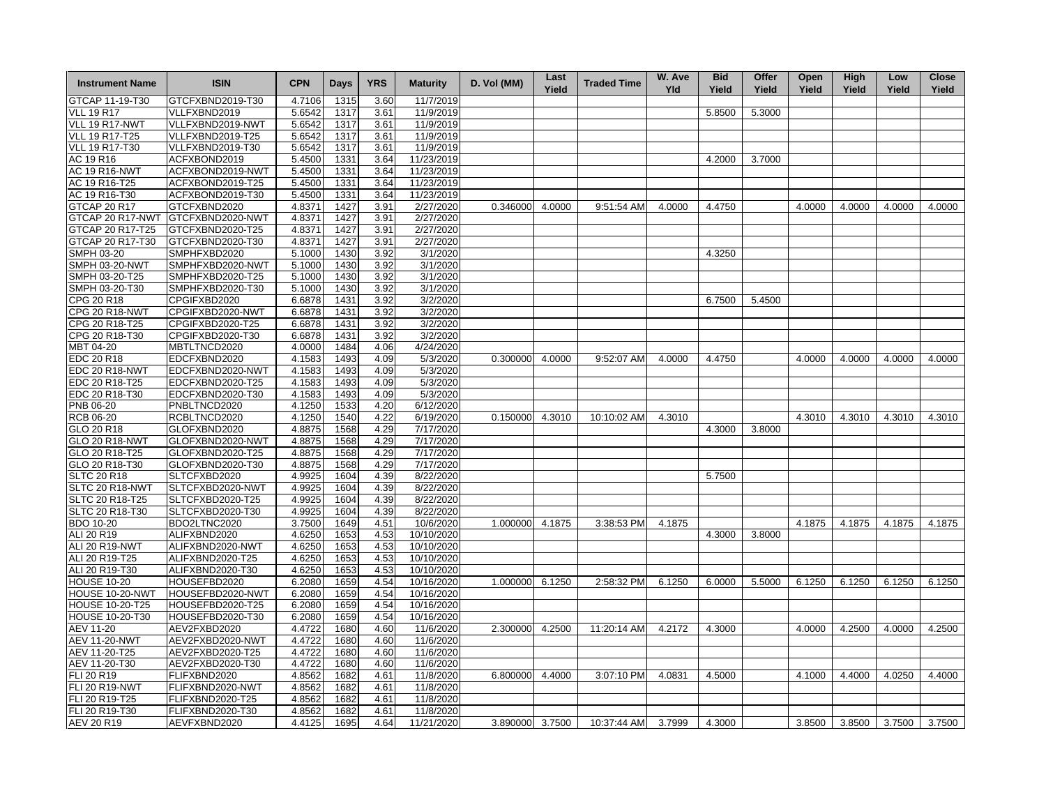| <b>Instrument Name</b> | <b>ISIN</b>                      | <b>CPN</b> | Days | <b>YRS</b>   | <b>Maturity</b> | D. Vol (MM)     | Last<br>Yield | <b>Traded Time</b> | W. Ave<br><b>Yld</b> | <b>Bid</b><br>Yield | Offer<br>Yield | Open<br>Yield | High<br>Yield | Low<br>Yield | <b>Close</b><br>Yield |
|------------------------|----------------------------------|------------|------|--------------|-----------------|-----------------|---------------|--------------------|----------------------|---------------------|----------------|---------------|---------------|--------------|-----------------------|
| GTCAP 11-19-T30        | GTCFXBND2019-T30                 | 4.7106     | 1315 | 3.60         | 11/7/2019       |                 |               |                    |                      |                     |                |               |               |              |                       |
| <b>VLL 19 R17</b>      | VLLFXBND2019                     | 5.6542     | 1317 | 3.61         | 11/9/2019       |                 |               |                    |                      | 5.8500              | 5.3000         |               |               |              |                       |
| VLL 19 R17-NWT         | VLLFXBND2019-NWT                 | 5.6542     | 1317 | 3.61         | 11/9/2019       |                 |               |                    |                      |                     |                |               |               |              |                       |
| <b>VLL 19 R17-T25</b>  | VLLFXBND2019-T25                 | 5.6542     | 1317 | 3.61         | 11/9/2019       |                 |               |                    |                      |                     |                |               |               |              |                       |
| VLL 19 R17-T30         | VLLFXBND2019-T30                 | 5.6542     | 1317 | 3.61         | 11/9/2019       |                 |               |                    |                      |                     |                |               |               |              |                       |
| AC 19 R16              | ACFXBOND2019                     | 5.4500     | 1331 | 3.64         | 11/23/2019      |                 |               |                    |                      | 4.2000              | 3.7000         |               |               |              |                       |
| <b>AC 19 R16-NWT</b>   | ACFXBOND2019-NWT                 | 5.4500     | 1331 | 3.64         | 11/23/2019      |                 |               |                    |                      |                     |                |               |               |              |                       |
| AC 19 R16-T25          | ACFXBOND2019-T25                 | 5.4500     | 1331 | 3.64         | 11/23/2019      |                 |               |                    |                      |                     |                |               |               |              |                       |
| AC 19 R16-T30          | ACFXBOND2019-T30                 | 5.4500     | 1331 | 3.64         | 11/23/2019      |                 |               |                    |                      |                     |                |               |               |              |                       |
| GTCAP 20 R17           | GTCFXBND2020                     | 4.8371     | 1427 | 3.91         | 2/27/2020       | 0.346000        | 4.0000        | 9:51:54 AM         | 4.0000               | 4.4750              |                | 4.0000        | 4.0000        | 4.0000       | 4.0000                |
| GTCAP 20 R17-NWT       | GTCFXBND2020-NWT                 | 4.8371     | 1427 | 3.91         | 2/27/2020       |                 |               |                    |                      |                     |                |               |               |              |                       |
| GTCAP 20 R17-T25       | GTCFXBND2020-T25                 | 4.8371     | 1427 | 3.91         | 2/27/2020       |                 |               |                    |                      |                     |                |               |               |              |                       |
| GTCAP 20 R17-T30       | GTCFXBND2020-T30                 | 4.8371     | 1427 | 3.91         | 2/27/2020       |                 |               |                    |                      |                     |                |               |               |              |                       |
| <b>SMPH 03-20</b>      | SMPHFXBD2020                     | 5.1000     | 1430 | 3.92         | 3/1/2020        |                 |               |                    |                      | 4.3250              |                |               |               |              |                       |
| SMPH 03-20-NWT         | SMPHFXBD2020-NWT                 | 5.1000     | 1430 | 3.92         | 3/1/2020        |                 |               |                    |                      |                     |                |               |               |              |                       |
| SMPH 03-20-T25         | SMPHFXBD2020-T25                 | 5.1000     | 1430 | 3.92         | 3/1/2020        |                 |               |                    |                      |                     |                |               |               |              |                       |
| SMPH 03-20-T30         | SMPHFXBD2020-T30                 | 5.1000     | 1430 | 3.92         | 3/1/2020        |                 |               |                    |                      |                     |                |               |               |              |                       |
| CPG 20 R18             | CPGIFXBD2020                     | 6.6878     | 1431 | 3.92         | 3/2/2020        |                 |               |                    |                      | 6.7500              | 5.4500         |               |               |              |                       |
| <b>CPG 20 R18-NWT</b>  | CPGIFXBD2020-NWT                 | 6.6878     | 1431 | 3.92         | 3/2/2020        |                 |               |                    |                      |                     |                |               |               |              |                       |
| CPG 20 R18-T25         | CPGIFXBD2020-T25                 | 6.6878     | 1431 | 3.92         | 3/2/2020        |                 |               |                    |                      |                     |                |               |               |              |                       |
| CPG 20 R18-T30         | CPGIFXBD2020-T30                 | 6.6878     | 1431 | 3.92         | 3/2/2020        |                 |               |                    |                      |                     |                |               |               |              |                       |
| MBT 04-20              | MBTLTNCD2020                     | 4.0000     | 1484 | 4.06         | 4/24/2020       |                 |               |                    |                      |                     |                |               |               |              |                       |
| EDC 20 R18             | EDCFXBND2020                     | 4.1583     | 1493 | 4.09         | 5/3/2020        | 0.300000 4.0000 |               | 9:52:07 AM         | 4.0000               | 4.4750              |                | 4.0000        | 4.0000        | 4.0000       | 4.0000                |
| EDC 20 R18-NWT         | EDCFXBND2020-NWT                 | 4.1583     | 1493 | 4.09         | 5/3/2020        |                 |               |                    |                      |                     |                |               |               |              |                       |
| EDC 20 R18-T25         | EDCFXBND2020-T25                 | 4.1583     | 1493 | 4.09         | 5/3/2020        |                 |               |                    |                      |                     |                |               |               |              |                       |
| EDC 20 R18-T30         |                                  | 4.1583     | 1493 |              | 5/3/2020        |                 |               |                    |                      |                     |                |               |               |              |                       |
| PNB 06-20              | EDCFXBND2020-T30<br>PNBLTNCD2020 | 4.1250     | 1533 | 4.09<br>4.20 | 6/12/2020       |                 |               |                    |                      |                     |                |               |               |              |                       |
|                        |                                  |            |      |              |                 |                 |               |                    |                      |                     |                |               |               |              |                       |
| <b>RCB 06-20</b>       | RCBLTNCD2020                     | 4.1250     | 1540 | 4.22         | 6/19/2020       | 0.150000        | 4.3010        | 10:10:02 AM        | 4.3010               |                     |                | 4.3010        | 4.3010        | 4.3010       | 4.3010                |
| GLO 20 R18             | GLOFXBND2020                     | 4.8875     | 1568 | 4.29         | 7/17/2020       |                 |               |                    |                      | 4.3000              | 3.8000         |               |               |              |                       |
| <b>GLO 20 R18-NWT</b>  | GLOFXBND2020-NWT                 | 4.8875     | 1568 | 4.29         | 7/17/2020       |                 |               |                    |                      |                     |                |               |               |              |                       |
| GLO 20 R18-T25         | GLOFXBND2020-T25                 | 4.8875     | 1568 | 4.29         | 7/17/2020       |                 |               |                    |                      |                     |                |               |               |              |                       |
| GLO 20 R18-T30         | GLOFXBND2020-T30                 | 4.8875     | 1568 | 4.29         | 7/17/2020       |                 |               |                    |                      |                     |                |               |               |              |                       |
| <b>SLTC 20 R18</b>     | SLTCFXBD2020                     | 4.9925     | 1604 | 4.39         | 8/22/2020       |                 |               |                    |                      | 5.7500              |                |               |               |              |                       |
| SLTC 20 R18-NWT        | SLTCFXBD2020-NWT                 | 4.9925     | 1604 | 4.39         | 8/22/2020       |                 |               |                    |                      |                     |                |               |               |              |                       |
| SLTC 20 R18-T25        | SLTCFXBD2020-T25                 | 4.9925     | 1604 | 4.39         | 8/22/2020       |                 |               |                    |                      |                     |                |               |               |              |                       |
| SLTC 20 R18-T30        | SLTCFXBD2020-T30                 | 4.9925     | 1604 | 4.39         | 8/22/2020       |                 |               |                    |                      |                     |                |               |               |              |                       |
| <b>BDO 10-20</b>       | BDO2LTNC2020                     | 3.7500     | 1649 | 4.51         | 10/6/2020       | 1.000000 4.1875 |               | 3:38:53 PM         | 4.1875               |                     |                | 4.1875        | 4.1875        | 4.1875       | 4.1875                |
| ALI 20 R19             | ALIFXBND2020                     | 4.6250     | 1653 | 4.53         | 10/10/2020      |                 |               |                    |                      | 4.3000              | 3.8000         |               |               |              |                       |
| ALI 20 R19-NWT         | ALIFXBND2020-NWT                 | 4.6250     | 1653 | 4.53         | 10/10/2020      |                 |               |                    |                      |                     |                |               |               |              |                       |
| ALI 20 R19-T25         | ALIFXBND2020-T25                 | 4.6250     | 1653 | 4.53         | 10/10/2020      |                 |               |                    |                      |                     |                |               |               |              |                       |
| ALI 20 R19-T30         | ALIFXBND2020-T30                 | 4.6250     | 1653 | 4.53         | 10/10/2020      |                 |               |                    |                      |                     |                |               |               |              |                       |
| <b>HOUSE 10-20</b>     | HOUSEFBD2020                     | 6.2080     | 1659 | 4.54         | 10/16/2020      | 1.000000 6.1250 |               | 2:58:32 PM         | 6.1250               | 6.0000              | 5.5000         | 6.1250        | 6.1250        | 6.1250       | 6.1250                |
| HOUSE 10-20-NWT        | HOUSEFBD2020-NWT                 | 6.2080     | 1659 | 4.54         | 10/16/2020      |                 |               |                    |                      |                     |                |               |               |              |                       |
| <b>HOUSE 10-20-T25</b> | HOUSEFBD2020-T25                 | 6.2080     | 1659 | 4.54         | 10/16/2020      |                 |               |                    |                      |                     |                |               |               |              |                       |
| <b>HOUSE 10-20-T30</b> | HOUSEFBD2020-T30                 | 6.2080     | 1659 | 4.54         | 10/16/2020      |                 |               |                    |                      |                     |                |               |               |              |                       |
| AEV 11-20              | AEV2FXBD2020                     | 4.4722     | 1680 | 4.60         | 11/6/2020       | 2.300000 4.2500 |               | 11:20:14 AM        | 4.2172               | 4.3000              |                | 4.0000        | 4.2500        | 4.0000       | 4.2500                |
| <b>AEV 11-20-NWT</b>   | AEV2FXBD2020-NWT                 | 4.4722     | 1680 | 4.60         | 11/6/2020       |                 |               |                    |                      |                     |                |               |               |              |                       |
| AEV 11-20-T25          | AEV2FXBD2020-T25                 | 4.4722     | 1680 | 4.60         | 11/6/2020       |                 |               |                    |                      |                     |                |               |               |              |                       |
| AEV 11-20-T30          | AEV2FXBD2020-T30                 | 4.4722     | 1680 | 4.60         | 11/6/2020       |                 |               |                    |                      |                     |                |               |               |              |                       |
| FLI 20 R19             | FLIFXBND2020                     | 4.8562     | 1682 | 4.61         | 11/8/2020       | 6.800000 4.4000 |               | 3:07:10 PM         | 4.0831               | 4.5000              |                | 4.1000        | 4.4000        | 4.0250       | 4.4000                |
| <b>FLI 20 R19-NWT</b>  | FLIFXBND2020-NWT                 | 4.8562     | 1682 | 4.61         | 11/8/2020       |                 |               |                    |                      |                     |                |               |               |              |                       |
| FLI 20 R19-T25         | FLIFXBND2020-T25                 | 4.8562     | 1682 | 4.61         | 11/8/2020       |                 |               |                    |                      |                     |                |               |               |              |                       |
| FLI 20 R19-T30         | FLIFXBND2020-T30                 | 4.8562     | 1682 | 4.61         | 11/8/2020       |                 |               |                    |                      |                     |                |               |               |              |                       |
| AEV 20 R19             | AEVFXBND2020                     | 4.4125     | 1695 | 4.64         | 11/21/2020      | 3.890000 3.7500 |               | 10:37:44 AM        | 3.7999               | 4.3000              |                | 3.8500        | 3.8500        | 3.7500       | 3.7500                |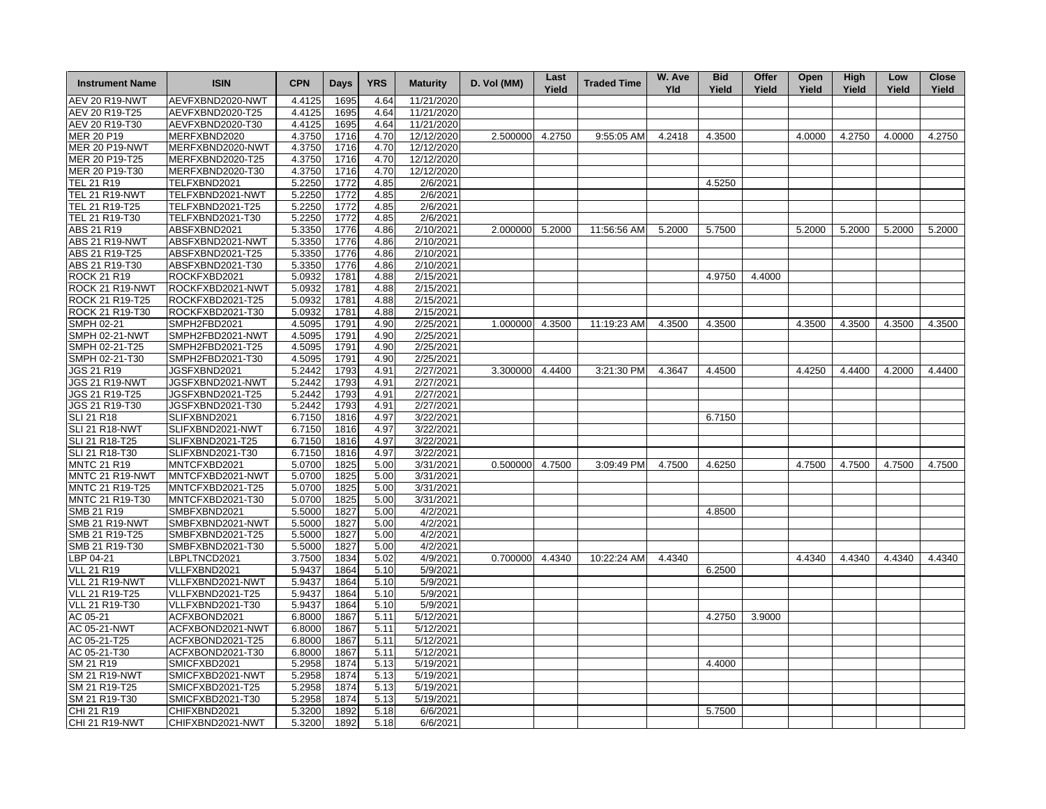| <b>Instrument Name</b> | <b>ISIN</b>      | <b>CPN</b> | Days | <b>YRS</b> | <b>Maturity</b> | D. Vol (MM)     | Last<br>Yield | <b>Traded Time</b> | W. Ave<br><b>Yld</b> | <b>Bid</b><br>Yield | Offer<br>Yield | Open<br>Yield | High<br>Yield | Low<br>Yield | <b>Close</b><br>Yield |
|------------------------|------------------|------------|------|------------|-----------------|-----------------|---------------|--------------------|----------------------|---------------------|----------------|---------------|---------------|--------------|-----------------------|
| <b>AEV 20 R19-NWT</b>  | AEVFXBND2020-NWT | 4.4125     | 1695 | 4.64       | 11/21/2020      |                 |               |                    |                      |                     |                |               |               |              |                       |
| AEV 20 R19-T25         | AEVFXBND2020-T25 | 4.4125     | 1695 | 4.64       | 11/21/2020      |                 |               |                    |                      |                     |                |               |               |              |                       |
| AEV 20 R19-T30         | AEVFXBND2020-T30 | 4.4125     | 1695 | 4.64       | 11/21/2020      |                 |               |                    |                      |                     |                |               |               |              |                       |
| MER 20 P19             | MERFXBND2020     | 4.3750     | 1716 | 4.70       | 12/12/2020      | 2.500000        | 4.2750        | 9:55:05 AM         | 4.2418               | 4.3500              |                | 4.0000        | 4.2750        | 4.0000       | 4.2750                |
| <b>MER 20 P19-NWT</b>  | MERFXBND2020-NWT | 4.3750     | 1716 | 4.70       | 12/12/2020      |                 |               |                    |                      |                     |                |               |               |              |                       |
| MER 20 P19-T25         | MERFXBND2020-T25 | 4.3750     | 1716 | 4.70       | 12/12/2020      |                 |               |                    |                      |                     |                |               |               |              |                       |
| MER 20 P19-T30         | MERFXBND2020-T30 | 4.3750     | 1716 | 4.70       | 12/12/2020      |                 |               |                    |                      |                     |                |               |               |              |                       |
| TEL 21 R19             | TELFXBND2021     | 5.2250     | 1772 | 4.85       | 2/6/2021        |                 |               |                    |                      | 4.5250              |                |               |               |              |                       |
| <b>TEL 21 R19-NWT</b>  | TELFXBND2021-NWT | 5.2250     | 1772 | 4.85       | 2/6/2021        |                 |               |                    |                      |                     |                |               |               |              |                       |
| TEL 21 R19-T25         | TELFXBND2021-T25 | 5.2250     | 1772 | 4.85       | 2/6/2021        |                 |               |                    |                      |                     |                |               |               |              |                       |
| TEL 21 R19-T30         | TELFXBND2021-T30 | 5.2250     | 1772 | 4.85       | 2/6/2021        |                 |               |                    |                      |                     |                |               |               |              |                       |
| ABS 21 R19             | ABSFXBND2021     | 5.3350     | 1776 | 4.86       | 2/10/2021       | 2.000000 5.2000 |               | 11:56:56 AM        | 5.2000               | 5.7500              |                | 5.2000        | 5.2000        | 5.2000       | 5.2000                |
| ABS 21 R19-NWT         | ABSFXBND2021-NWT | 5.3350     | 1776 | 4.86       | 2/10/2021       |                 |               |                    |                      |                     |                |               |               |              |                       |
| ABS 21 R19-T25         | ABSFXBND2021-T25 | 5.3350     | 1776 | 4.86       | 2/10/2021       |                 |               |                    |                      |                     |                |               |               |              |                       |
| ABS 21 R19-T30         | ABSFXBND2021-T30 | 5.3350     | 1776 | 4.86       | 2/10/2021       |                 |               |                    |                      |                     |                |               |               |              |                       |
| <b>ROCK 21 R19</b>     | ROCKFXBD2021     | 5.0932     | 1781 | 4.88       | 2/15/2021       |                 |               |                    |                      | 4.9750              | 4.4000         |               |               |              |                       |
| ROCK 21 R19-NWT        | ROCKFXBD2021-NWT | 5.0932     | 1781 | 4.88       | 2/15/2021       |                 |               |                    |                      |                     |                |               |               |              |                       |
| ROCK 21 R19-T25        | ROCKFXBD2021-T25 | 5.0932     | 1781 | 4.88       | 2/15/2021       |                 |               |                    |                      |                     |                |               |               |              |                       |
| ROCK 21 R19-T30        | ROCKFXBD2021-T30 | 5.0932     | 1781 | 4.88       | 2/15/2021       |                 |               |                    |                      |                     |                |               |               |              |                       |
| SMPH 02-21             | SMPH2FBD2021     | 4.5095     | 1791 | 4.90       | 2/25/2021       | 1.000000 4.3500 |               | 11:19:23 AM        | 4.3500               | 4.3500              |                | 4.3500        | 4.3500        | 4.3500       | 4.3500                |
| <b>SMPH 02-21-NWT</b>  | SMPH2FBD2021-NWT | 4.5095     | 1791 | 4.90       | 2/25/2021       |                 |               |                    |                      |                     |                |               |               |              |                       |
| SMPH 02-21-T25         | SMPH2FBD2021-T25 | 4.5095     | 1791 | 4.90       | 2/25/2021       |                 |               |                    |                      |                     |                |               |               |              |                       |
| SMPH 02-21-T30         | SMPH2FBD2021-T30 | 4.5095     | 1791 | 4.90       | 2/25/2021       |                 |               |                    |                      |                     |                |               |               |              |                       |
| JGS 21 R19             | JGSFXBND2021     | 5.2442     | 1793 | 4.91       | 2/27/2021       | 3.300000        | 4.4400        | 3:21:30 PM         | 4.3647               | 4.4500              |                | 4.4250        | 4.4400        | 4.2000       | 4.4400                |
| JGS 21 R19-NWT         | JGSFXBND2021-NWT | 5.2442     | 1793 | 4.91       | 2/27/2021       |                 |               |                    |                      |                     |                |               |               |              |                       |
| JGS 21 R19-T25         | JGSFXBND2021-T25 | 5.2442     | 1793 | 4.91       | 2/27/2021       |                 |               |                    |                      |                     |                |               |               |              |                       |
| JGS 21 R19-T30         | JGSFXBND2021-T30 | 5.2442     | 1793 | 4.91       | 2/27/2021       |                 |               |                    |                      |                     |                |               |               |              |                       |
| <b>SLI 21 R18</b>      | SLIFXBND2021     | 6.7150     | 1816 | 4.97       | 3/22/2021       |                 |               |                    |                      | 6.7150              |                |               |               |              |                       |
| <b>SLI 21 R18-NWT</b>  | SLIFXBND2021-NWT | 6.7150     | 1816 | 4.97       | 3/22/2021       |                 |               |                    |                      |                     |                |               |               |              |                       |
| SLI 21 R18-T25         | SLIFXBND2021-T25 | 6.7150     | 1816 | 4.97       | 3/22/2021       |                 |               |                    |                      |                     |                |               |               |              |                       |
| SLI 21 R18-T30         | SLIFXBND2021-T30 | 6.7150     | 1816 | 4.97       | 3/22/2021       |                 |               |                    |                      |                     |                |               |               |              |                       |
| <b>MNTC 21 R19</b>     | MNTCFXBD2021     | 5.0700     | 1825 | 5.00       | 3/31/2021       | 0.500000 4.7500 |               | 3:09:49 PM         | 4.7500               | 4.6250              |                | 4.7500        | 4.7500        | 4.7500       | 4.7500                |
| MNTC 21 R19-NWT        | MNTCFXBD2021-NWT | 5.0700     | 1825 | 5.00       | 3/31/2021       |                 |               |                    |                      |                     |                |               |               |              |                       |
| MNTC 21 R19-T25        | MNTCFXBD2021-T25 | 5.0700     | 1825 | 5.00       | 3/31/2021       |                 |               |                    |                      |                     |                |               |               |              |                       |
| MNTC 21 R19-T30        | MNTCFXBD2021-T30 | 5.0700     | 1825 | 5.00       | 3/31/2021       |                 |               |                    |                      |                     |                |               |               |              |                       |
| SMB 21 R19             | SMBFXBND2021     | 5.5000     | 1827 | 5.00       | 4/2/2021        |                 |               |                    |                      | 4.8500              |                |               |               |              |                       |
| <b>SMB 21 R19-NWT</b>  | SMBFXBND2021-NWT | 5.5000     | 1827 | 5.00       | 4/2/2021        |                 |               |                    |                      |                     |                |               |               |              |                       |
| SMB 21 R19-T25         | SMBFXBND2021-T25 | 5.5000     | 1827 | 5.00       | 4/2/2021        |                 |               |                    |                      |                     |                |               |               |              |                       |
| SMB 21 R19-T30         | SMBFXBND2021-T30 | 5.5000     | 1827 | 5.00       | 4/2/2021        |                 |               |                    |                      |                     |                |               |               |              |                       |
| LBP $04 - 21$          | LBPLTNCD2021     | 3.7500     | 1834 | 5.02       | 4/9/2021        | 0.700000 4.4340 |               | 10:22:24 AM        | 4.4340               |                     |                | 4.4340        | 4.4340        | 4.4340       | 4.4340                |
| <b>VLL 21 R19</b>      | VLLFXBND2021     | 5.9437     | 1864 | 5.10       | 5/9/2021        |                 |               |                    |                      | 6.2500              |                |               |               |              |                       |
| VLL 21 R19-NWT         | VLLFXBND2021-NWT | 5.9437     | 1864 | 5.10       | 5/9/2021        |                 |               |                    |                      |                     |                |               |               |              |                       |
| VLL 21 R19-T25         | VLLFXBND2021-T25 | 5.9437     | 1864 | 5.10       | 5/9/2021        |                 |               |                    |                      |                     |                |               |               |              |                       |
| VLL 21 R19-T30         | VLLFXBND2021-T30 | 5.9437     | 1864 | 5.10       | 5/9/2021        |                 |               |                    |                      |                     |                |               |               |              |                       |
| AC 05-21               | ACFXBOND2021     | 6.8000     | 1867 | 5.11       | 5/12/2021       |                 |               |                    |                      | 4.2750              | 3.9000         |               |               |              |                       |
| AC 05-21-NWT           | ACFXBOND2021-NWT | 6.8000     | 1867 | 5.11       | 5/12/2021       |                 |               |                    |                      |                     |                |               |               |              |                       |
| AC 05-21-T25           | ACFXBOND2021-T25 | 6.8000     | 1867 | 5.11       | 5/12/2021       |                 |               |                    |                      |                     |                |               |               |              |                       |
| AC 05-21-T30           | ACFXBOND2021-T30 | 6.8000     | 1867 | 5.11       | 5/12/2021       |                 |               |                    |                      |                     |                |               |               |              |                       |
| SM 21 R19              | SMICFXBD2021     | 5.2958     | 1874 | 5.13       | 5/19/2021       |                 |               |                    |                      | 4.4000              |                |               |               |              |                       |
| <b>SM 21 R19-NWT</b>   | SMICFXBD2021-NWT | 5.2958     | 1874 | 5.13       | 5/19/2021       |                 |               |                    |                      |                     |                |               |               |              |                       |
| SM 21 R19-T25          | SMICFXBD2021-T25 | 5.2958     | 1874 | 5.13       | 5/19/2021       |                 |               |                    |                      |                     |                |               |               |              |                       |
| SM 21 R19-T30          | SMICFXBD2021-T30 | 5.2958     | 1874 | 5.13       | 5/19/2021       |                 |               |                    |                      |                     |                |               |               |              |                       |
| CHI 21 R19             | CHIFXBND2021     | 5.3200     | 1892 | 5.18       | 6/6/2021        |                 |               |                    |                      | 5.7500              |                |               |               |              |                       |
| <b>CHI 21 R19-NWT</b>  | CHIFXBND2021-NWT | 5.3200     | 1892 | 5.18       | 6/6/2021        |                 |               |                    |                      |                     |                |               |               |              |                       |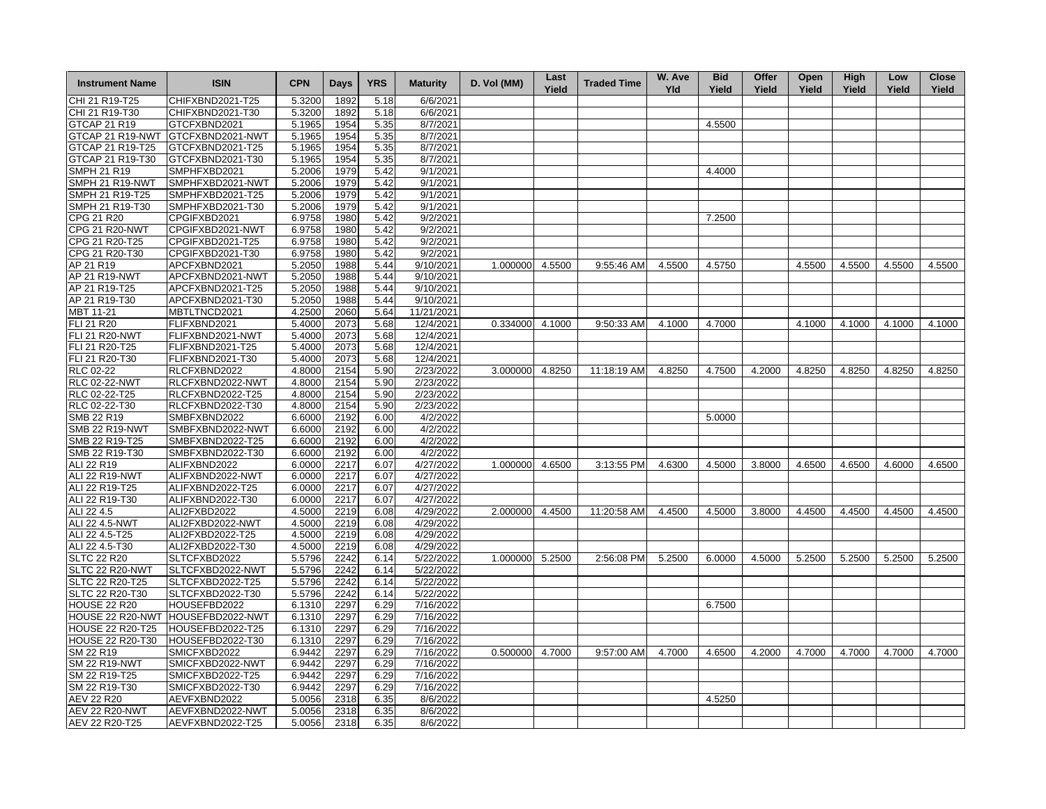| <b>Instrument Name</b>  | <b>ISIN</b>                                           | <b>CPN</b> | Days         | <b>YRS</b> | <b>Maturity</b>        | D. Vol (MM)     | Last<br>Yield | <b>Traded Time</b> | W. Ave<br><b>Yld</b> | <b>Bid</b><br>Yield | Offer<br>Yield | Open<br>Yield | High<br>Yield | Low<br>Yield | <b>Close</b><br>Yield |
|-------------------------|-------------------------------------------------------|------------|--------------|------------|------------------------|-----------------|---------------|--------------------|----------------------|---------------------|----------------|---------------|---------------|--------------|-----------------------|
| CHI 21 R19-T25          | CHIFXBND2021-T25                                      | 5.3200     | 1892         | 5.18       | 6/6/2021               |                 |               |                    |                      |                     |                |               |               |              |                       |
| CHI 21 R19-T30          | CHIFXBND2021-T30                                      | 5.3200     | 1892         | 5.18       | 6/6/2021               |                 |               |                    |                      |                     |                |               |               |              |                       |
| GTCAP 21 R19            | GTCFXBND2021                                          | 5.1965     | 1954         | 5.35       | 8/7/2021               |                 |               |                    |                      | 4.5500              |                |               |               |              |                       |
| GTCAP 21 R19-NWT        | GTCFXBND2021-NWT                                      | 5.1965     | 1954         | 5.35       | 8/7/2021               |                 |               |                    |                      |                     |                |               |               |              |                       |
| GTCAP 21 R19-T25        | GTCFXBND2021-T25                                      | 5.1965     | 1954         | 5.35       | 8/7/2021               |                 |               |                    |                      |                     |                |               |               |              |                       |
| GTCAP 21 R19-T30        | GTCFXBND2021-T30                                      | 5.1965     | 1954         | 5.35       | 8/7/2021               |                 |               |                    |                      |                     |                |               |               |              |                       |
| <b>SMPH 21 R19</b>      | SMPHFXBD2021                                          | 5.2006     | 1979         | 5.42       | 9/1/2021               |                 |               |                    |                      | 4.4000              |                |               |               |              |                       |
| SMPH 21 R19-NWT         | SMPHFXBD2021-NWT                                      | 5.2006     | 1979         | 5.42       | 9/1/2021               |                 |               |                    |                      |                     |                |               |               |              |                       |
| SMPH 21 R19-T25         | SMPHFXBD2021-T25                                      | 5.2006     | 1979         | 5.42       | 9/1/2021               |                 |               |                    |                      |                     |                |               |               |              |                       |
| SMPH 21 R19-T30         | SMPHFXBD2021-T30                                      | 5.2006     | 1979         | 5.42       | 9/1/2021               |                 |               |                    |                      |                     |                |               |               |              |                       |
| CPG 21 R20              | CPGIFXBD2021                                          | 6.9758     | 1980         | 5.42       | 9/2/2021               |                 |               |                    |                      | 7.2500              |                |               |               |              |                       |
| <b>CPG 21 R20-NWT</b>   | CPGIFXBD2021-NWT                                      | 6.9758     | 1980         | 5.42       | 9/2/2021               |                 |               |                    |                      |                     |                |               |               |              |                       |
| CPG 21 R20-T25          | CPGIFXBD2021-T25                                      | 6.9758     | 1980         | 5.42       | 9/2/2021               |                 |               |                    |                      |                     |                |               |               |              |                       |
| CPG 21 R20-T30          | CPGIFXBD2021-T30                                      | 6.9758     | 1980         | 5.42       | 9/2/2021               |                 |               |                    |                      |                     |                |               |               |              |                       |
| AP 21 R19               | APCFXBND2021                                          | 5.2050     | 1988         | 5.44       | 9/10/2021              | 1.000000 4.5500 |               | 9:55:46 AM         | 4.5500               | 4.5750              |                | 4.5500        | 4.5500        | 4.5500       | 4.5500                |
| AP 21 R19-NWT           | APCFXBND2021-NWT                                      | 5.2050     | 1988         | 5.44       | 9/10/2021              |                 |               |                    |                      |                     |                |               |               |              |                       |
| AP 21 R19-T25           | APCFXBND2021-T25                                      | 5.2050     | 1988         | 5.44       | 9/10/2021              |                 |               |                    |                      |                     |                |               |               |              |                       |
| AP 21 R19-T30           | APCFXBND2021-T30                                      | 5.2050     | 1988         | 5.44       | 9/10/2021              |                 |               |                    |                      |                     |                |               |               |              |                       |
| MBT 11-21               | MBTLTNCD2021                                          | 4.2500     | 2060         | 5.64       | 11/21/2021             |                 |               |                    |                      |                     |                |               |               |              |                       |
| FLI 21 R20              | FLIFXBND2021                                          | 5.4000     | 2073         | 5.68       | 12/4/2021              | 0.334000 4.1000 |               | 9:50:33 AM         | 4.1000               | 4.7000              |                | 4.1000        | 4.1000        | 4.1000       | 4.1000                |
| <b>FLI 21 R20-NWT</b>   | FLIFXBND2021-NWT                                      | 5.4000     | 2073         | 5.68       | 12/4/2021              |                 |               |                    |                      |                     |                |               |               |              |                       |
| FLI 21 R20-T25          | FLIFXBND2021-T25                                      | 5.4000     | 2073         | 5.68       | 12/4/2021              |                 |               |                    |                      |                     |                |               |               |              |                       |
| FLI 21 R20-T30          | FLIFXBND2021-T30                                      | 5.4000     | 2073         | 5.68       | 12/4/2021              |                 |               |                    |                      |                     |                |               |               |              |                       |
| <b>RLC 02-22</b>        | RLCFXBND2022                                          | 4.8000     | 2154         | 5.90       | 2/23/2022              | 3.000000        | 4.8250        | 11:18:19 AM        | 4.8250               | 4.7500              | 4.2000         | 4.8250        | 4.8250        | 4.8250       | 4.8250                |
| <b>RLC 02-22-NWT</b>    | RLCFXBND2022-NWT                                      | 4.8000     | 2154         | 5.90       | 2/23/2022              |                 |               |                    |                      |                     |                |               |               |              |                       |
| RLC 02-22-T25           | RLCFXBND2022-T25                                      | 4.8000     | 2154         | 5.90       | 2/23/2022              |                 |               |                    |                      |                     |                |               |               |              |                       |
| RLC 02-22-T30           | RLCFXBND2022-T30                                      | 4.8000     | 2154         | 5.90       | 2/23/2022              |                 |               |                    |                      |                     |                |               |               |              |                       |
| <b>SMB 22 R19</b>       | SMBFXBND2022                                          | 6.6000     | 2192         | 6.00       | 4/2/2022               |                 |               |                    |                      | 5.0000              |                |               |               |              |                       |
| SMB 22 R19-NWT          | SMBFXBND2022-NWT                                      | 6.6000     | 2192         | 6.00       | 4/2/2022               |                 |               |                    |                      |                     |                |               |               |              |                       |
| SMB 22 R19-T25          | SMBFXBND2022-T25                                      | 6.6000     | 2192         | 6.00       | 4/2/2022               |                 |               |                    |                      |                     |                |               |               |              |                       |
| SMB 22 R19-T30          | SMBFXBND2022-T30                                      | 6.6000     | 2192         | 6.00       | 4/2/2022               |                 |               |                    |                      |                     |                |               |               |              |                       |
| ALI 22 R19              | ALIFXBND2022                                          | 6.0000     | 2217         | 6.07       | 4/27/2022              | 1.000000        | 4.6500        | 3:13:55 PM         | 4.6300               | 4.5000              | 3.8000         | 4.6500        | 4.6500        | 4.6000       | 4.6500                |
| ALI 22 R19-NWT          | ALIFXBND2022-NWT                                      | 6.0000     | 2217         | 6.07       | 4/27/2022              |                 |               |                    |                      |                     |                |               |               |              |                       |
| ALI 22 R19-T25          | ALIFXBND2022-T25                                      | 6.0000     | 2217         | 6.07       | 4/27/2022              |                 |               |                    |                      |                     |                |               |               |              |                       |
| ALI 22 R19-T30          | ALIFXBND2022-T30                                      | 6.0000     | 2217         | 6.07       | 4/27/2022              |                 |               |                    |                      |                     |                |               |               |              |                       |
| ALI 22 4.5              | ALI2FXBD2022                                          | 4.5000     | 2219         | 6.08       | 4/29/2022              | 2.000000        | 4.4500        | 11:20:58 AM        | 4.4500               | 4.5000              | 3.8000         | 4.4500        | 4.4500        | 4.4500       | 4.4500                |
| ALI 22 4.5-NWT          | ALI2FXBD2022-NWT                                      | 4.5000     | 2219         | 6.08       | 4/29/2022              |                 |               |                    |                      |                     |                |               |               |              |                       |
| ALI 22 4.5-T25          | ALI2FXBD2022-T25                                      | 4.5000     | 2219         | 6.08       | 4/29/2022              |                 |               |                    |                      |                     |                |               |               |              |                       |
| ALI 22 4.5-T30          | ALI2FXBD2022-T30                                      | 4.5000     | 2219         | 6.08       | 4/29/2022              |                 |               |                    |                      |                     |                |               |               |              |                       |
| <b>SLTC 22 R20</b>      | SLTCFXBD2022                                          | 5.5796     | 2242         | 6.14       | 5/22/2022              | 1.000000        | 5.2500        | 2:56:08 PM         | 5.2500               | 6.0000              | 4.5000         | 5.2500        | 5.2500        | 5.2500       | 5.2500                |
| SLTC 22 R20-NWT         | SLTCFXBD2022-NWT                                      | 5.5796     | 2242         | 6.14       | 5/22/2022              |                 |               |                    |                      |                     |                |               |               |              |                       |
| SLTC 22 R20-T25         | SLTCFXBD2022-T25                                      |            |              |            |                        |                 |               |                    |                      |                     |                |               |               |              |                       |
|                         |                                                       | 5.5796     | 2242         | 6.14       | 5/22/2022              |                 |               |                    |                      |                     |                |               |               |              |                       |
| SLTC 22 R20-T30         | SLTCFXBD2022-T30<br>HOUSEFBD2022                      | 5.5796     | 2242         | 6.14       | 5/22/2022<br>7/16/2022 |                 |               |                    |                      |                     |                |               |               |              |                       |
| <b>HOUSE 22 R20</b>     |                                                       | 6.1310     | 2297         | 6.29       |                        |                 |               |                    |                      | 6.7500              |                |               |               |              |                       |
| <b>HOUSE 22 R20-T25</b> | HOUSE 22 R20-NWT HOUSEFBD2022-NWT<br>HOUSEFBD2022-T25 | 6.1310     | 2297<br>2297 | 6.29       | 7/16/2022<br>7/16/2022 |                 |               |                    |                      |                     |                |               |               |              |                       |
|                         |                                                       | 6.1310     |              | 6.29       | 7/16/2022              |                 |               |                    |                      |                     |                |               |               |              |                       |
| <b>HOUSE 22 R20-T30</b> | HOUSEFBD2022-T30                                      | 6.1310     | 2297         | 6.29       |                        |                 |               |                    |                      |                     |                |               |               |              |                       |
| SM 22 R19               | SMICFXBD2022                                          | 6.9442     | 2297         | 6.29       | 7/16/2022              | 0.500000        | 4.7000        | 9:57:00 AM         | 4.7000               | 4.6500              | 4.2000         | 4.7000        | 4.7000        | 4.7000       | 4.7000                |
| <b>SM 22 R19-NWT</b>    | SMICFXBD2022-NWT                                      | 6.9442     | 2297         | 6.29       | 7/16/2022              |                 |               |                    |                      |                     |                |               |               |              |                       |
| SM 22 R19-T25           | SMICFXBD2022-T25                                      | 6.9442     | 2297         | 6.29       | 7/16/2022              |                 |               |                    |                      |                     |                |               |               |              |                       |
| SM 22 R19-T30           | SMICFXBD2022-T30                                      | 6.9442     | 2297         | 6.29       | 7/16/2022              |                 |               |                    |                      |                     |                |               |               |              |                       |
| AEV 22 R20              | AEVFXBND2022                                          | 5.0056     | 2318         | 6.35       | 8/6/2022               |                 |               |                    |                      | 4.5250              |                |               |               |              |                       |
| AEV 22 R20-NWT          | AEVFXBND2022-NWT                                      | 5.0056     | 2318         | 6.35       | 8/6/2022               |                 |               |                    |                      |                     |                |               |               |              |                       |
| AEV 22 R20-T25          | AEVFXBND2022-T25                                      | 5.0056     | 2318         | 6.35       | 8/6/2022               |                 |               |                    |                      |                     |                |               |               |              |                       |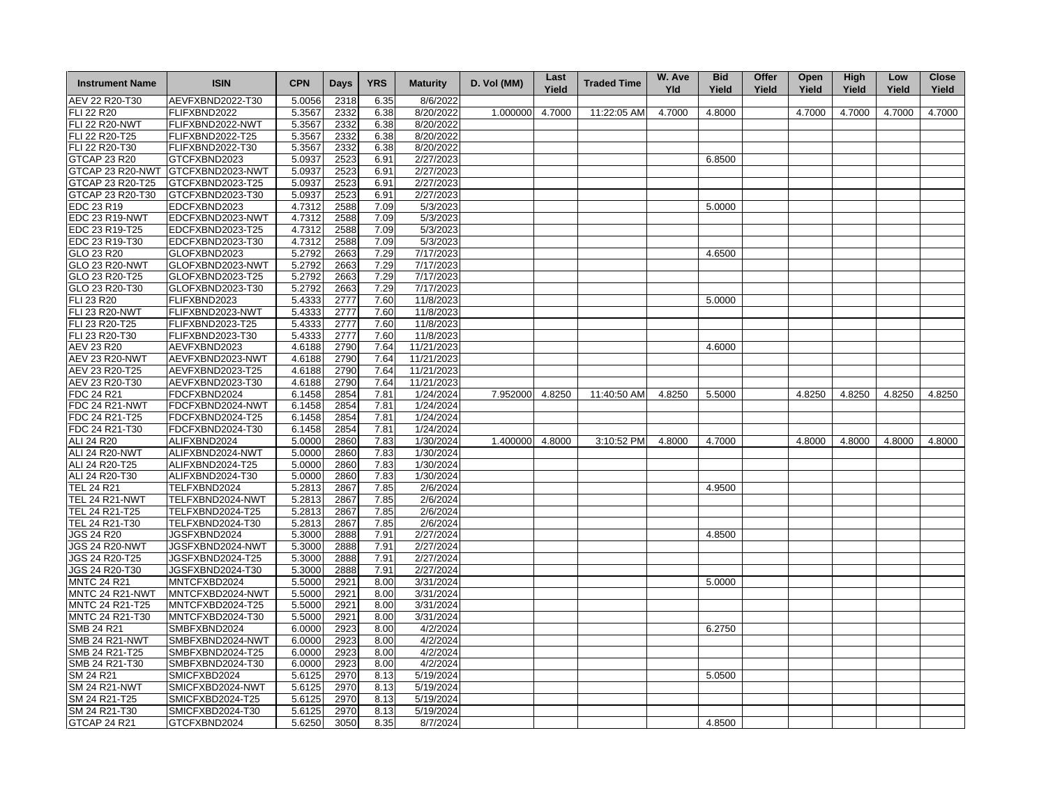| <b>Instrument Name</b> | <b>ISIN</b>      | <b>CPN</b> | <b>Days</b> | <b>YRS</b> | <b>Maturity</b>        | D. Vol (MM)     | Last<br>Yield | <b>Traded Time</b> | W. Ave<br><b>Yld</b> | <b>Bid</b><br>Yield | Offer<br>Yield | Open<br>Yield | High<br>Yield | Low<br>Yield | <b>Close</b><br>Yield |
|------------------------|------------------|------------|-------------|------------|------------------------|-----------------|---------------|--------------------|----------------------|---------------------|----------------|---------------|---------------|--------------|-----------------------|
| AEV 22 R20-T30         | AEVFXBND2022-T30 | 5.0056     | 2318        | 6.35       | 8/6/2022               |                 |               |                    |                      |                     |                |               |               |              |                       |
| FLI 22 R20             | FLIFXBND2022     | 5.3567     | 2332        | 6.38       | 8/20/2022              | 1.000000        | 4.7000        | 11:22:05 AM        | 4.7000               | 4.8000              |                | 4.7000        | 4.7000        | 4.7000       | 4.7000                |
| <b>FLI 22 R20-NWT</b>  | FLIFXBND2022-NWT | 5.3567     | 2332        | 6.38       | 8/20/2022              |                 |               |                    |                      |                     |                |               |               |              |                       |
| FLI 22 R20-T25         | FLIFXBND2022-T25 | 5.3567     | 2332        | 6.38       | 8/20/2022              |                 |               |                    |                      |                     |                |               |               |              |                       |
| FLI 22 R20-T30         | FLIFXBND2022-T30 | 5.3567     | 2332        | 6.38       | 8/20/2022              |                 |               |                    |                      |                     |                |               |               |              |                       |
| GTCAP 23 R20           | GTCFXBND2023     | 5.0937     | 2523        | 6.91       | 2/27/2023              |                 |               |                    |                      | 6.8500              |                |               |               |              |                       |
| GTCAP 23 R20-NWT       | GTCFXBND2023-NWT | 5.0937     | 2523        | 6.91       | 2/27/2023              |                 |               |                    |                      |                     |                |               |               |              |                       |
| GTCAP 23 R20-T25       | GTCFXBND2023-T25 | 5.0937     | 2523        | 6.91       | $\overline{2}/27/2023$ |                 |               |                    |                      |                     |                |               |               |              |                       |
| GTCAP 23 R20-T30       | GTCFXBND2023-T30 | 5.0937     | 2523        | 6.91       | 2/27/2023              |                 |               |                    |                      |                     |                |               |               |              |                       |
| EDC 23 R19             | EDCFXBND2023     | 4.7312     | 2588        | 7.09       | 5/3/2023               |                 |               |                    |                      | 5.0000              |                |               |               |              |                       |
| EDC 23 R19-NWT         | EDCFXBND2023-NWT | 4.7312     | 2588        | 7.09       | 5/3/2023               |                 |               |                    |                      |                     |                |               |               |              |                       |
| EDC 23 R19-T25         | EDCFXBND2023-T25 | 4.7312     | 2588        | 7.09       | 5/3/2023               |                 |               |                    |                      |                     |                |               |               |              |                       |
|                        |                  |            |             |            |                        |                 |               |                    |                      |                     |                |               |               |              |                       |
| EDC 23 R19-T30         | EDCFXBND2023-T30 | 4.7312     | 2588        | 7.09       | 5/3/2023               |                 |               |                    |                      |                     |                |               |               |              |                       |
| GLO 23 R20             | GLOFXBND2023     | 5.2792     | 2663        | 7.29       | 7/17/2023              |                 |               |                    |                      | 4.6500              |                |               |               |              |                       |
| GLO 23 R20-NWT         | GLOFXBND2023-NWT | 5.2792     | 2663        | 7.29       | 7/17/2023              |                 |               |                    |                      |                     |                |               |               |              |                       |
| GLO 23 R20-T25         | GLOFXBND2023-T25 | 5.2792     | 2663        | 7.29       | 7/17/2023              |                 |               |                    |                      |                     |                |               |               |              |                       |
| GLO 23 R20-T30         | GLOFXBND2023-T30 | 5.2792     | 2663        | 7.29       | 7/17/2023              |                 |               |                    |                      |                     |                |               |               |              |                       |
| <b>FLI 23 R20</b>      | FLIFXBND2023     | 5.4333     | 2777        | 7.60       | 11/8/2023              |                 |               |                    |                      | 5.0000              |                |               |               |              |                       |
| <b>FLI 23 R20-NWT</b>  | FLIFXBND2023-NWT | 5.4333     | 2777        | 7.60       | 11/8/2023              |                 |               |                    |                      |                     |                |               |               |              |                       |
| FLI 23 R20-T25         | FLIFXBND2023-T25 | 5.4333     | 2777        | 7.60       | 11/8/2023              |                 |               |                    |                      |                     |                |               |               |              |                       |
| FLI 23 R20-T30         | FLIFXBND2023-T30 | 5.4333     | 2777        | 7.60       | 11/8/2023              |                 |               |                    |                      |                     |                |               |               |              |                       |
| AEV 23 R20             | AEVFXBND2023     | 4.6188     | 2790        | 7.64       | 11/21/2023             |                 |               |                    |                      | 4.6000              |                |               |               |              |                       |
| <b>AEV 23 R20-NWT</b>  | AEVFXBND2023-NWT | 4.6188     | 2790        | 7.64       | 11/21/2023             |                 |               |                    |                      |                     |                |               |               |              |                       |
| AEV 23 R20-T25         | AEVFXBND2023-T25 | 4.6188     | 2790        | 7.64       | 11/21/2023             |                 |               |                    |                      |                     |                |               |               |              |                       |
| AEV 23 R20-T30         | AEVFXBND2023-T30 | 4.6188     | 2790        | 7.64       | 11/21/2023             |                 |               |                    |                      |                     |                |               |               |              |                       |
| FDC 24 R21             | FDCFXBND2024     | 6.1458     | 2854        | 7.81       | 1/24/2024              | 7.952000        | 4.8250        | 11:40:50 AM        | 4.8250               | 5.5000              |                | 4.8250        | 4.8250        | 4.8250       | 4.8250                |
| <b>FDC 24 R21-NWT</b>  | FDCFXBND2024-NWT | 6.1458     | 2854        | 7.81       | 1/24/2024              |                 |               |                    |                      |                     |                |               |               |              |                       |
| FDC 24 R21-T25         | FDCFXBND2024-T25 | 6.1458     | 2854        | 7.81       | 1/24/2024              |                 |               |                    |                      |                     |                |               |               |              |                       |
| FDC 24 R21-T30         | FDCFXBND2024-T30 | 6.1458     | 2854        | 7.81       | 1/24/2024              |                 |               |                    |                      |                     |                |               |               |              |                       |
| ALI 24 R20             | ALIFXBND2024     | 5.0000     | 2860        | 7.83       | 1/30/2024              | 1.400000 4.8000 |               | 3:10:52 PM         | 4.8000               | 4.7000              |                | 4.8000        | 4.8000        | 4.8000       | 4.8000                |
| ALI 24 R20-NWT         | ALIFXBND2024-NWT | 5.0000     | 2860        | 7.83       | 1/30/2024              |                 |               |                    |                      |                     |                |               |               |              |                       |
| ALI 24 R20-T25         | ALIFXBND2024-T25 | 5.0000     | 2860        | 7.83       | 1/30/2024              |                 |               |                    |                      |                     |                |               |               |              |                       |
| ALI 24 R20-T30         | ALIFXBND2024-T30 | 5.0000     | 2860        | 7.83       | 1/30/2024              |                 |               |                    |                      |                     |                |               |               |              |                       |
| <b>TEL 24 R21</b>      | TELFXBND2024     | 5.2813     | 2867        | 7.85       | 2/6/2024               |                 |               |                    |                      | 4.9500              |                |               |               |              |                       |
| <b>TEL 24 R21-NWT</b>  | TELFXBND2024-NWT | 5.2813     | 2867        | 7.85       | 2/6/2024               |                 |               |                    |                      |                     |                |               |               |              |                       |
| TEL 24 R21-T25         | TELFXBND2024-T25 |            |             |            | 2/6/2024               |                 |               |                    |                      |                     |                |               |               |              |                       |
|                        |                  | 5.2813     | 2867        | 7.85       |                        |                 |               |                    |                      |                     |                |               |               |              |                       |
| TEL 24 R21-T30         | TELFXBND2024-T30 | 5.2813     | 2867        | 7.85       | 2/6/2024               |                 |               |                    |                      |                     |                |               |               |              |                       |
| <b>JGS 24 R20</b>      | JGSFXBND2024     | 5.3000     | 2888        | 7.91       | 2/27/2024              |                 |               |                    |                      | 4.8500              |                |               |               |              |                       |
| <b>JGS 24 R20-NWT</b>  | JGSFXBND2024-NWT | 5.3000     | 2888        | 7.91       | 2/27/2024              |                 |               |                    |                      |                     |                |               |               |              |                       |
| JGS 24 R20-T25         | JGSFXBND2024-T25 | 5.3000     | 2888        | 7.91       | 2/27/2024              |                 |               |                    |                      |                     |                |               |               |              |                       |
| JGS 24 R20-T30         | JGSFXBND2024-T30 | 5.3000     | 2888        | 7.91       | 2/27/2024              |                 |               |                    |                      |                     |                |               |               |              |                       |
| <b>MNTC 24 R21</b>     | MNTCFXBD2024     | 5.5000     | 2921        | 8.00       | 3/31/2024              |                 |               |                    |                      | 5.0000              |                |               |               |              |                       |
| MNTC 24 R21-NWT        | MNTCFXBD2024-NWT | 5.5000     | 2921        | 8.00       | 3/31/2024              |                 |               |                    |                      |                     |                |               |               |              |                       |
| MNTC 24 R21-T25        | MNTCFXBD2024-T25 | 5.5000     | 2921        | 8.00       | 3/31/2024              |                 |               |                    |                      |                     |                |               |               |              |                       |
| MNTC 24 R21-T30        | MNTCFXBD2024-T30 | 5.5000     | 2921        | 8.00       | 3/31/2024              |                 |               |                    |                      |                     |                |               |               |              |                       |
| <b>SMB 24 R21</b>      | SMBFXBND2024     | 6.0000     | 2923        | 8.00       | 4/2/2024               |                 |               |                    |                      | 6.2750              |                |               |               |              |                       |
| <b>SMB 24 R21-NWT</b>  | SMBFXBND2024-NWT | 6.0000     | 2923        | 8.00       | 4/2/2024               |                 |               |                    |                      |                     |                |               |               |              |                       |
| SMB 24 R21-T25         | SMBFXBND2024-T25 | 6.0000     | 2923        | 8.00       | 4/2/2024               |                 |               |                    |                      |                     |                |               |               |              |                       |
| SMB 24 R21-T30         | SMBFXBND2024-T30 | 6.0000     | 2923        | 8.00       | 4/2/2024               |                 |               |                    |                      |                     |                |               |               |              |                       |
| SM 24 R21              | SMICFXBD2024     | 5.6125     | 2970        | 8.13       | 5/19/2024              |                 |               |                    |                      | 5.0500              |                |               |               |              |                       |
| <b>SM 24 R21-NWT</b>   | SMICFXBD2024-NWT | 5.6125     | 2970        | 8.13       | 5/19/2024              |                 |               |                    |                      |                     |                |               |               |              |                       |
| SM 24 R21-T25          | SMICFXBD2024-T25 | 5.6125     | 2970        | 8.13       | 5/19/2024              |                 |               |                    |                      |                     |                |               |               |              |                       |
| SM 24 R21-T30          | SMICFXBD2024-T30 | 5.6125     | 2970        | 8.13       | 5/19/2024              |                 |               |                    |                      |                     |                |               |               |              |                       |
| GTCAP 24 R21           | GTCFXBND2024     | 5.6250     | 3050        | 8.35       | 8/7/2024               |                 |               |                    |                      | 4.8500              |                |               |               |              |                       |
|                        |                  |            |             |            |                        |                 |               |                    |                      |                     |                |               |               |              |                       |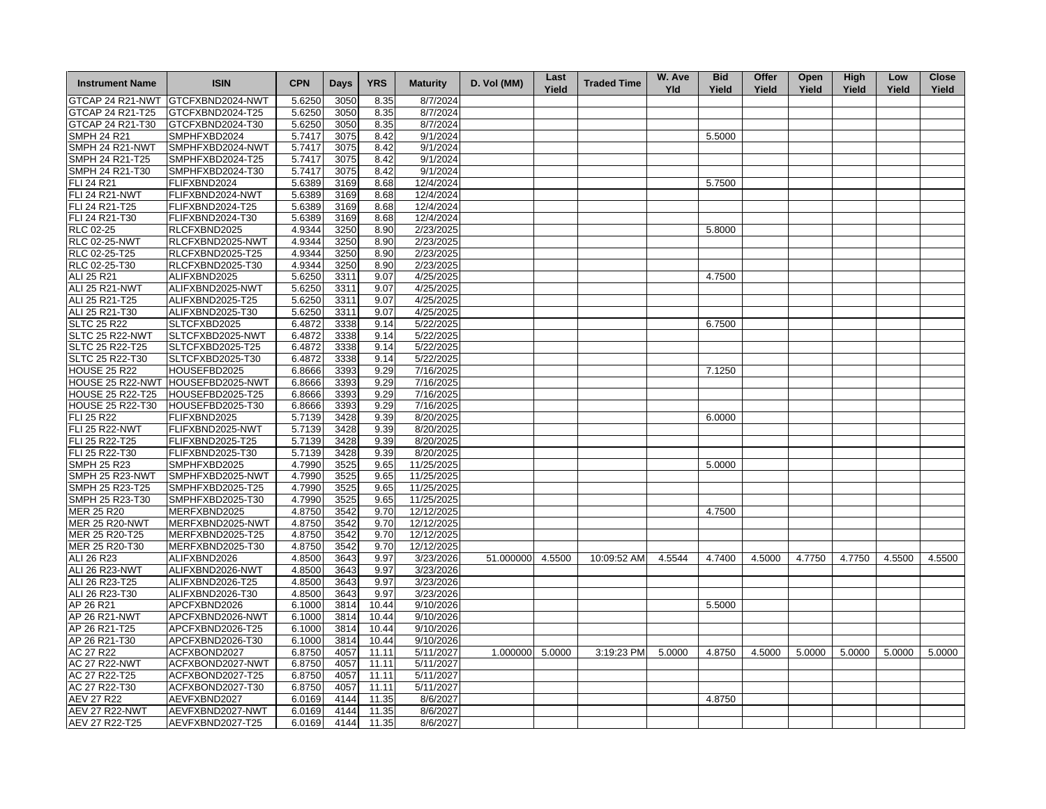| <b>Instrument Name</b>           | <b>ISIN</b>                          | <b>CPN</b>       | Days         | <b>YRS</b>   | <b>Maturity</b>        | D. Vol (MM)     | Last<br>Yield | <b>Traded Time</b> | W. Ave<br><b>Yld</b> | <b>Bid</b><br>Yield | Offer<br>Yield | Open<br>Yield | High<br>Yield | Low<br>Yield | <b>Close</b><br>Yield |
|----------------------------------|--------------------------------------|------------------|--------------|--------------|------------------------|-----------------|---------------|--------------------|----------------------|---------------------|----------------|---------------|---------------|--------------|-----------------------|
|                                  | GTCAP 24 R21-NWT GTCFXBND2024-NWT    | 5.6250           | 3050         | 8.35         | 8/7/2024               |                 |               |                    |                      |                     |                |               |               |              |                       |
| GTCAP 24 R21-T25                 | GTCFXBND2024-T25                     | 5.6250           | 3050         | 8.35         | 8/7/2024               |                 |               |                    |                      |                     |                |               |               |              |                       |
| GTCAP 24 R21-T30                 | GTCFXBND2024-T30                     | 5.6250           | 3050         | 8.35         | 8/7/2024               |                 |               |                    |                      |                     |                |               |               |              |                       |
| <b>SMPH 24 R21</b>               | SMPHFXBD2024                         | 5.7417           | 3075         | 8.42         | 9/1/2024               |                 |               |                    |                      | 5.5000              |                |               |               |              |                       |
| SMPH 24 R21-NWT                  | SMPHFXBD2024-NWT                     | 5.7417           | 3075         | 8.42         | 9/1/2024               |                 |               |                    |                      |                     |                |               |               |              |                       |
| SMPH 24 R21-T25                  | SMPHFXBD2024-T25                     | 5.7417           | 3075         | 8.42         | 9/1/2024               |                 |               |                    |                      |                     |                |               |               |              |                       |
| SMPH 24 R21-T30                  | SMPHFXBD2024-T30                     | 5.7417           | 3075         | 8.42         | 9/1/2024               |                 |               |                    |                      |                     |                |               |               |              |                       |
| FLI 24 R21                       | FLIFXBND2024                         | 5.6389           | 3169         | 8.68         | 12/4/2024              |                 |               |                    |                      | 5.7500              |                |               |               |              |                       |
| <b>FLI 24 R21-NWT</b>            | FLIFXBND2024-NWT                     | 5.6389           | 3169         | 8.68         | 12/4/2024              |                 |               |                    |                      |                     |                |               |               |              |                       |
| FLI 24 R21-T25                   | FLIFXBND2024-T25                     | 5.6389           | 3169         | 8.68         | 12/4/2024              |                 |               |                    |                      |                     |                |               |               |              |                       |
| FLI 24 R21-T30                   | FLIFXBND2024-T30                     | 5.6389           | 3169         | 8.68         | 12/4/2024              |                 |               |                    |                      |                     |                |               |               |              |                       |
| RLC 02-25                        | RLCFXBND2025                         | 4.9344           | 3250         | 8.90         | 2/23/2025              |                 |               |                    |                      | 5.8000              |                |               |               |              |                       |
| <b>RLC 02-25-NWT</b>             | RLCFXBND2025-NWT                     | 4.9344           | 3250         |              | 2/23/2025              |                 |               |                    |                      |                     |                |               |               |              |                       |
|                                  |                                      | 4.9344           |              | 8.90<br>8.90 | 2/23/2025              |                 |               |                    |                      |                     |                |               |               |              |                       |
| RLC 02-25-T25                    | RLCFXBND2025-T25                     |                  | 3250         |              |                        |                 |               |                    |                      |                     |                |               |               |              |                       |
| RLC 02-25-T30                    | RLCFXBND2025-T30                     | 4.9344           | 3250         | 8.90         | 2/23/2025              |                 |               |                    |                      |                     |                |               |               |              |                       |
| ALI 25 R21                       | ALIFXBND2025                         | 5.6250           | 3311         | 9.07         | 4/25/2025              |                 |               |                    |                      | 4.7500              |                |               |               |              |                       |
| <b>ALI 25 R21-NWT</b>            | ALIFXBND2025-NWT                     | 5.6250           | 3311         | 9.07         | 4/25/2025              |                 |               |                    |                      |                     |                |               |               |              |                       |
| ALI 25 R21-T25                   | ALIFXBND2025-T25                     | 5.6250           | 3311         | 9.07         | 4/25/2025              |                 |               |                    |                      |                     |                |               |               |              |                       |
| ALI 25 R21-T30                   | ALIFXBND2025-T30                     | 5.6250           | 3311         | 9.07         | 4/25/2025              |                 |               |                    |                      |                     |                |               |               |              |                       |
| <b>SLTC 25 R22</b>               | SLTCFXBD2025                         | 6.4872           | 3338         | 9.14         | 5/22/2025              |                 |               |                    |                      | 6.7500              |                |               |               |              |                       |
| SLTC 25 R22-NWT                  | SLTCFXBD2025-NWT                     | 6.4872           | 3338         | 9.14         | 5/22/2025              |                 |               |                    |                      |                     |                |               |               |              |                       |
| SLTC 25 R22-T25                  | SLTCFXBD2025-T25                     | 6.4872           | 3338         | 9.14         | 5/22/2025              |                 |               |                    |                      |                     |                |               |               |              |                       |
| SLTC 25 R22-T30                  | SLTCFXBD2025-T30                     | 6.4872           | 3338         | 9.14         | 5/22/2025              |                 |               |                    |                      |                     |                |               |               |              |                       |
| <b>HOUSE 25 R22</b>              | HOUSEFBD2025                         | 6.8666           | 3393         | 9.29         | 7/16/2025              |                 |               |                    |                      | 7.1250              |                |               |               |              |                       |
| HOUSE 25 R22-NWT                 | HOUSEFBD2025-NWT                     | 6.8666           | 3393         | 9.29         | 7/16/2025              |                 |               |                    |                      |                     |                |               |               |              |                       |
| <b>HOUSE 25 R22-T25</b>          | HOUSEFBD2025-T25                     | 6.8666           | 3393         | 9.29         | 7/16/2025              |                 |               |                    |                      |                     |                |               |               |              |                       |
| <b>HOUSE 25 R22-T30</b>          | HOUSEFBD2025-T30                     | 6.8666           | 3393         | 9.29         | 7/16/2025              |                 |               |                    |                      |                     |                |               |               |              |                       |
| <b>FLI 25 R22</b>                | FLIFXBND2025                         | 5.7139           | 3428         | 9.39         | 8/20/2025              |                 |               |                    |                      | 6.0000              |                |               |               |              |                       |
| <b>FLI 25 R22-NWT</b>            | FLIFXBND2025-NWT                     | 5.7139           | 3428         | 9.39         | 8/20/2025              |                 |               |                    |                      |                     |                |               |               |              |                       |
| FLI 25 R22-T25                   | FLIFXBND2025-T25                     | 5.7139           | 3428         | 9.39         | 8/20/2025              |                 |               |                    |                      |                     |                |               |               |              |                       |
| FLI 25 R22-T30                   | FLIFXBND2025-T30                     | 5.7139           | 3428         | 9.39         | 8/20/2025              |                 |               |                    |                      |                     |                |               |               |              |                       |
| <b>SMPH 25 R23</b>               | SMPHFXBD2025                         | 4.7990           | 3525         | 9.65         | 11/25/2025             |                 |               |                    |                      | 5.0000              |                |               |               |              |                       |
| SMPH 25 R23-NWT                  | SMPHFXBD2025-NWT                     | 4.7990           | 3525         | 9.65         | 11/25/2025             |                 |               |                    |                      |                     |                |               |               |              |                       |
| SMPH 25 R23-T25                  | SMPHFXBD2025-T25                     | 4.7990           | 3525         | 9.65         | 11/25/2025             |                 |               |                    |                      |                     |                |               |               |              |                       |
| SMPH 25 R23-T30                  | SMPHFXBD2025-T30                     | 4.7990           | 3525         | 9.65         | 11/25/2025             |                 |               |                    |                      |                     |                |               |               |              |                       |
| MER 25 R20                       | MERFXBND2025                         | 4.8750           | 3542         | 9.70         | 12/12/2025             |                 |               |                    |                      | 4.7500              |                |               |               |              |                       |
| <b>MER 25 R20-NWT</b>            | MERFXBND2025-NWT                     | 4.8750           | 3542         | 9.70         | 12/12/2025             |                 |               |                    |                      |                     |                |               |               |              |                       |
| MER 25 R20-T25                   | MERFXBND2025-T25                     | 4.8750           | 3542         | 9.70         | 12/12/2025             |                 |               |                    |                      |                     |                |               |               |              |                       |
| MER 25 R20-T30                   | MERFXBND2025-T30                     | 4.8750           | 3542         | 9.70         | 12/12/2025             |                 |               |                    |                      |                     |                |               |               |              |                       |
| ALI 26 R23                       | ALIFXBND2026                         | 4.8500           | 3643         | 9.97         | 3/23/2026              | 51.000000       | 4.5500        | 10:09:52 AM        | 4.5544               | 4.7400              | 4.5000         | 4.7750        | 4.7750        | 4.5500       | 4.5500                |
| ALI 26 R23-NWT                   | ALIFXBND2026-NWT                     | 4.8500           | 3643         | 9.97         | 3/23/2026              |                 |               |                    |                      |                     |                |               |               |              |                       |
|                                  |                                      |                  |              |              |                        |                 |               |                    |                      |                     |                |               |               |              |                       |
| ALI 26 R23-T25<br>ALI 26 R23-T30 | ALIFXBND2026-T25<br>ALIFXBND2026-T30 | 4.8500<br>4.8500 | 3643<br>3643 | 9.97<br>9.97 | 3/23/2026<br>3/23/2026 |                 |               |                    |                      |                     |                |               |               |              |                       |
|                                  |                                      |                  |              |              |                        |                 |               |                    |                      |                     |                |               |               |              |                       |
| AP 26 R21                        | APCFXBND2026                         | 6.1000           | 3814         | 10.44        | 9/10/2026              |                 |               |                    |                      | 5.5000              |                |               |               |              |                       |
| AP 26 R21-NWT                    | APCFXBND2026-NWT                     | 6.1000           | 3814         | 10.44        | 9/10/2026              |                 |               |                    |                      |                     |                |               |               |              |                       |
| AP 26 R21-T25                    | APCFXBND2026-T25                     | 6.1000           | 3814         | 10.44        | 9/10/2026              |                 |               |                    |                      |                     |                |               |               |              |                       |
| AP 26 R21-T30                    | APCFXBND2026-T30                     | 6.1000           | 3814         | 10.44        | 9/10/2026              |                 |               |                    |                      |                     |                |               |               |              |                       |
| AC 27 R22                        | ACFXBOND2027                         | 6.8750           | 4057         | 11.11        | 5/11/2027              | 1.000000 5.0000 |               | 3:19:23 PM         | 5.0000               | 4.8750              | 4.5000         | 5.0000        | 5.0000        | 5.0000       | 5.0000                |
| <b>AC 27 R22-NWT</b>             | ACFXBOND2027-NWT                     | 6.8750           | 4057         | 11.11        | 5/11/2027              |                 |               |                    |                      |                     |                |               |               |              |                       |
| AC 27 R22-T25                    | ACFXBOND2027-T25                     | 6.8750           | 4057         | 11.11        | 5/11/2027              |                 |               |                    |                      |                     |                |               |               |              |                       |
| AC 27 R22-T30                    | ACFXBOND2027-T30                     | 6.8750           | 4057         | 11.11        | 5/11/2027              |                 |               |                    |                      |                     |                |               |               |              |                       |
| <b>AEV 27 R22</b>                | AEVFXBND2027                         | 6.0169           | 4144         | 11.35        | 8/6/2027               |                 |               |                    |                      | 4.8750              |                |               |               |              |                       |
| <b>AEV 27 R22-NWT</b>            | AEVFXBND2027-NWT                     | 6.0169           | 4144         | 11.35        | 8/6/2027               |                 |               |                    |                      |                     |                |               |               |              |                       |
| AEV 27 R22-T25                   | AEVFXBND2027-T25                     | 6.0169           | 4144         | 11.35        | 8/6/2027               |                 |               |                    |                      |                     |                |               |               |              |                       |